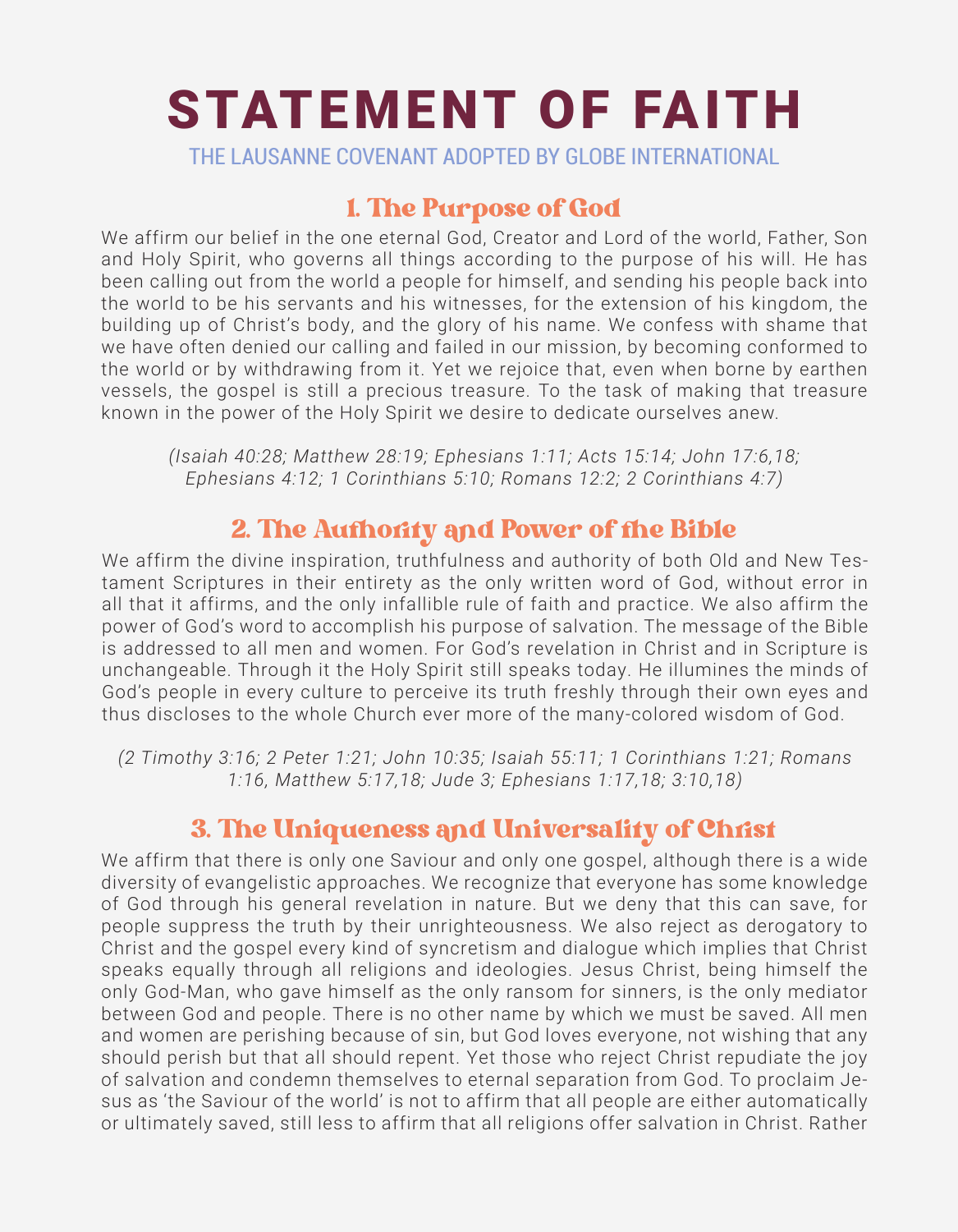# STATEMENT OF FAITH

THE LAUSANNE COVENANT ADOPTED BY GLOBE INTERNATIONAL

## 1. The Purpose of God

We affirm our belief in the one eternal God, Creator and Lord of the world, Father, Son and Holy Spirit, who governs all things according to the purpose of his will. He has been calling out from the world a people for himself, and sending his people back into the world to be his servants and his witnesses, for the extension of his kingdom, the building up of Christ's body, and the glory of his name. We confess with shame that we have often denied our calling and failed in our mission, by becoming conformed to the world or by withdrawing from it. Yet we rejoice that, even when borne by earthen vessels, the gospel is still a precious treasure. To the task of making that treasure known in the power of the Holy Spirit we desire to dedicate ourselves anew.

*(Isaiah 40:28; Matthew 28:19; Ephesians 1:11; Acts 15:14; John 17:6,18; Ephesians 4:12; 1 Corinthians 5:10; Romans 12:2; 2 Corinthians 4:7)*

# 2. The Authority and Power of the Bible

We affirm the divine inspiration, truthfulness and authority of both Old and New Testament Scriptures in their entirety as the only written word of God, without error in all that it affirms, and the only infallible rule of faith and practice. We also affirm the power of God's word to accomplish his purpose of salvation. The message of the Bible is addressed to all men and women. For God's revelation in Christ and in Scripture is unchangeable. Through it the Holy Spirit still speaks today. He illumines the minds of God's people in every culture to perceive its truth freshly through their own eyes and thus discloses to the whole Church ever more of the many-colored wisdom of God.

*(2 Timothy 3:16; 2 Peter 1:21; John 10:35; Isaiah 55:11; 1 Corinthians 1:21; Romans 1:16, Matthew 5:17,18; Jude 3; Ephesians 1:17,18; 3:10,18)*

# 3. The Uniqueness and Universality of Christ

We affirm that there is only one Saviour and only one gospel, although there is a wide diversity of evangelistic approaches. We recognize that everyone has some knowledge of God through his general revelation in nature. But we deny that this can save, for people suppress the truth by their unrighteousness. We also reject as derogatory to Christ and the gospel every kind of syncretism and dialogue which implies that Christ speaks equally through all religions and ideologies. Jesus Christ, being himself the only God-Man, who gave himself as the only ransom for sinners, is the only mediator between God and people. There is no other name by which we must be saved. All men and women are perishing because of sin, but God loves everyone, not wishing that any should perish but that all should repent. Yet those who reject Christ repudiate the joy of salvation and condemn themselves to eternal separation from God. To proclaim Jesus as 'the Saviour of the world' is not to affirm that all people are either automatically or ultimately saved, still less to affirm that all religions offer salvation in Christ. Rather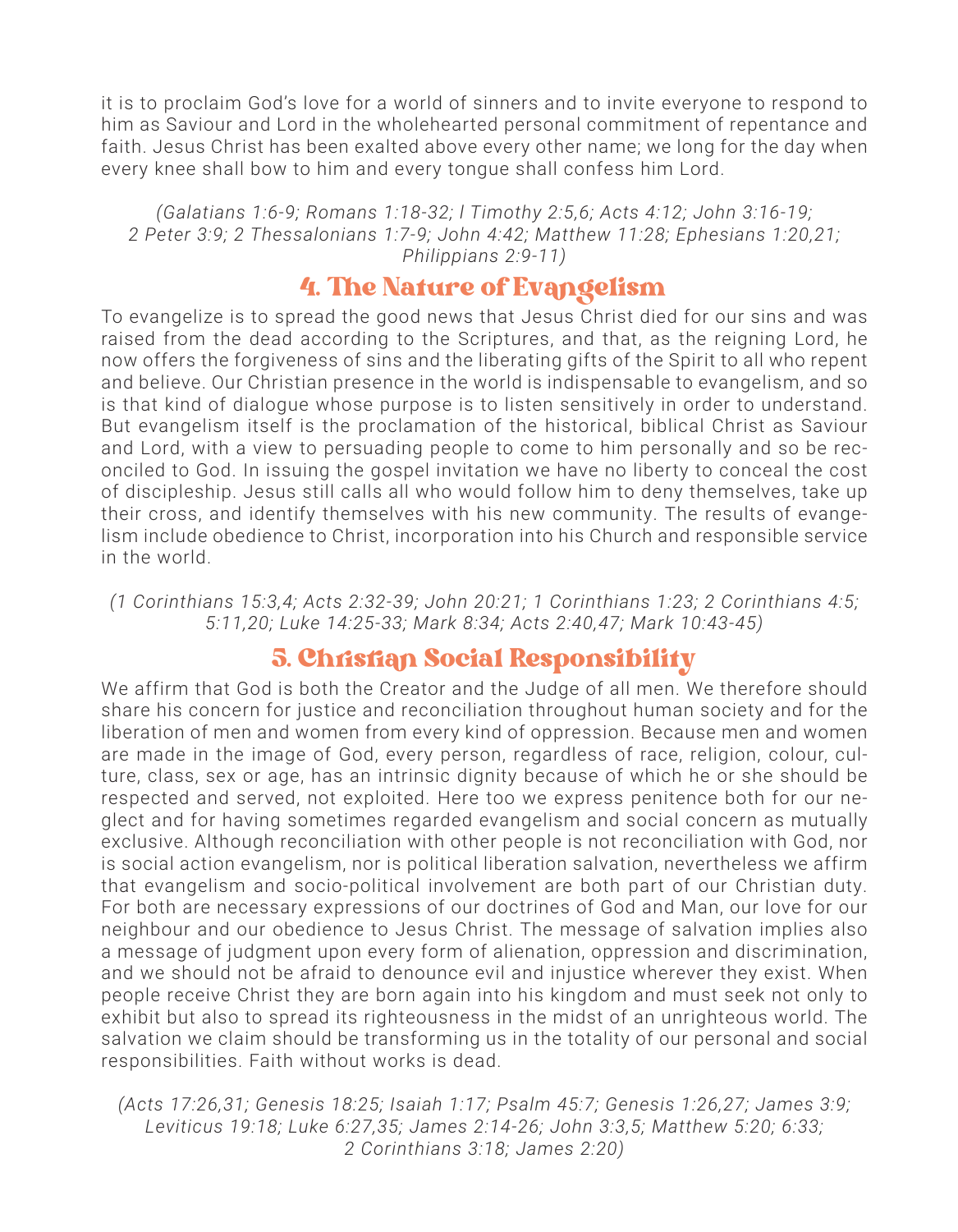it is to proclaim God's love for a world of sinners and to invite everyone to respond to him as Saviour and Lord in the wholehearted personal commitment of repentance and faith. Jesus Christ has been exalted above every other name; we long for the day when every knee shall bow to him and every tongue shall confess him Lord.

*(Galatians 1:6-9; Romans 1:18-32; l Timothy 2:5,6; Acts 4:12; John 3:16-19; 2 Peter 3:9; 2 Thessalonians 1:7-9; John 4:42; Matthew 11:28; Ephesians 1:20,21; Philippians 2:9-11)*

## 4. The Nature of Evangelism

To evangelize is to spread the good news that Jesus Christ died for our sins and was raised from the dead according to the Scriptures, and that, as the reigning Lord, he now offers the forgiveness of sins and the liberating gifts of the Spirit to all who repent and believe. Our Christian presence in the world is indispensable to evangelism, and so is that kind of dialogue whose purpose is to listen sensitively in order to understand. But evangelism itself is the proclamation of the historical, biblical Christ as Saviour and Lord, with a view to persuading people to come to him personally and so be reconciled to God. In issuing the gospel invitation we have no liberty to conceal the cost of discipleship. Jesus still calls all who would follow him to deny themselves, take up their cross, and identify themselves with his new community. The results of evangelism include obedience to Christ, incorporation into his Church and responsible service in the world.

*(1 Corinthians 15:3,4; Acts 2:32-39; John 20:21; 1 Corinthians 1:23; 2 Corinthians 4:5; 5:11,20; Luke 14:25-33; Mark 8:34; Acts 2:40,47; Mark 10:43-45)*

#### 5. Christian Social Responsibility

We affirm that God is both the Creator and the Judge of all men. We therefore should share his concern for justice and reconciliation throughout human society and for the liberation of men and women from every kind of oppression. Because men and women are made in the image of God, every person, regardless of race, religion, colour, culture, class, sex or age, has an intrinsic dignity because of which he or she should be respected and served, not exploited. Here too we express penitence both for our neglect and for having sometimes regarded evangelism and social concern as mutually exclusive. Although reconciliation with other people is not reconciliation with God, nor is social action evangelism, nor is political liberation salvation, nevertheless we affirm that evangelism and socio-political involvement are both part of our Christian duty. For both are necessary expressions of our doctrines of God and Man, our love for our neighbour and our obedience to Jesus Christ. The message of salvation implies also a message of judgment upon every form of alienation, oppression and discrimination, and we should not be afraid to denounce evil and injustice wherever they exist. When people receive Christ they are born again into his kingdom and must seek not only to exhibit but also to spread its righteousness in the midst of an unrighteous world. The salvation we claim should be transforming us in the totality of our personal and social responsibilities. Faith without works is dead.

*(Acts 17:26,31; Genesis 18:25; Isaiah 1:17; Psalm 45:7; Genesis 1:26,27; James 3:9; Leviticus 19:18; Luke 6:27,35; James 2:14-26; John 3:3,5; Matthew 5:20; 6:33; 2 Corinthians 3:18; James 2:20)*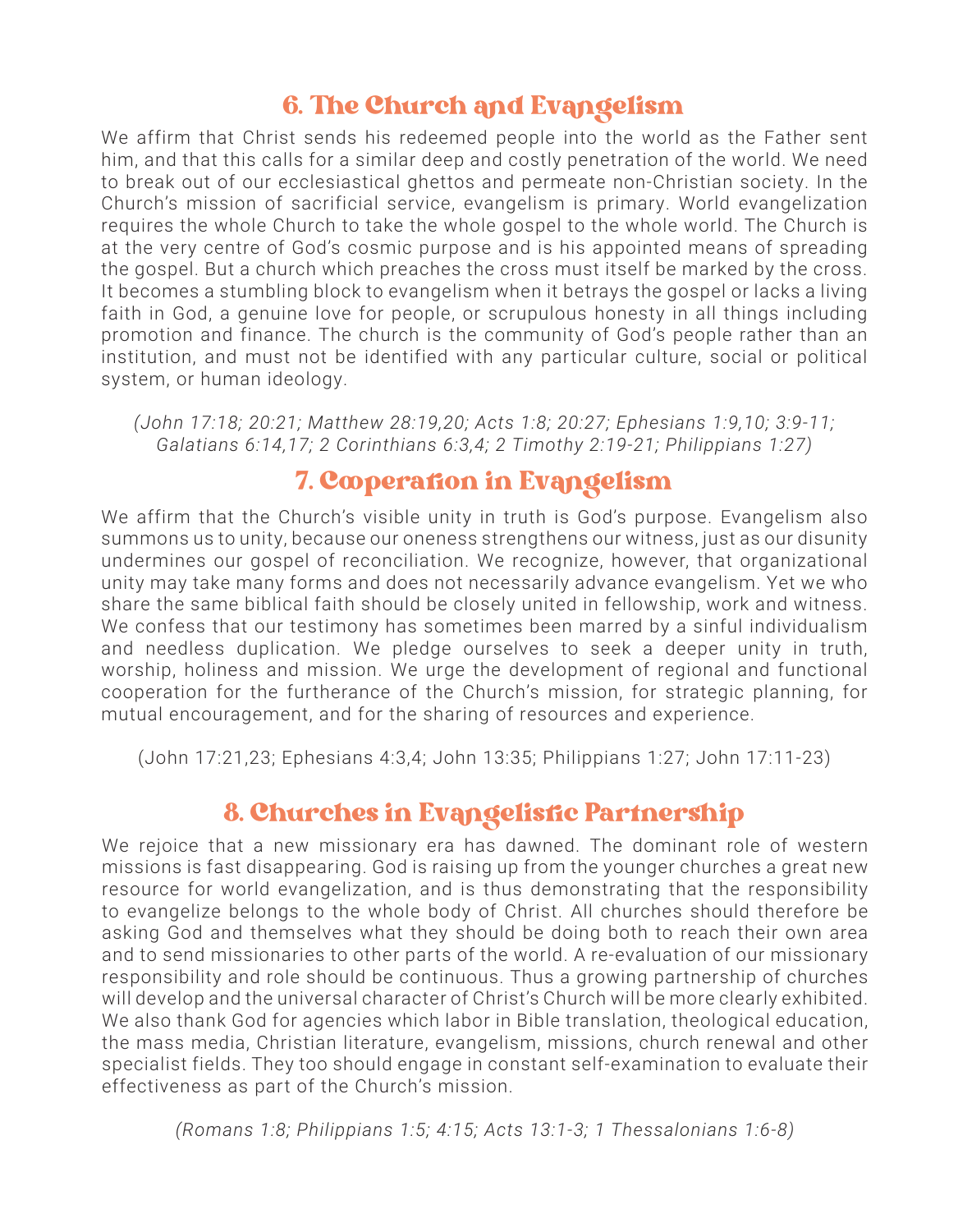# 6. The Church and Evangelism

We affirm that Christ sends his redeemed people into the world as the Father sent him, and that this calls for a similar deep and costly penetration of the world. We need to break out of our ecclesiastical ghettos and permeate non-Christian society. In the Church's mission of sacrificial service, evangelism is primary. World evangelization requires the whole Church to take the whole gospel to the whole world. The Church is at the very centre of God's cosmic purpose and is his appointed means of spreading the gospel. But a church which preaches the cross must itself be marked by the cross. It becomes a stumbling block to evangelism when it betrays the gospel or lacks a living faith in God, a genuine love for people, or scrupulous honesty in all things including promotion and finance. The church is the community of God's people rather than an institution, and must not be identified with any particular culture, social or political system, or human ideology.

*(John 17:18; 20:21; Matthew 28:19,20; Acts 1:8; 20:27; Ephesians 1:9,10; 3:9-11; Galatians 6:14,17; 2 Corinthians 6:3,4; 2 Timothy 2:19-21; Philippians 1:27)*

## 7. Cooperation in Evangelism

We affirm that the Church's visible unity in truth is God's purpose. Evangelism also summons us to unity, because our oneness strengthens our witness, just as our disunity undermines our gospel of reconciliation. We recognize, however, that organizational unity may take many forms and does not necessarily advance evangelism. Yet we who share the same biblical faith should be closely united in fellowship, work and witness. We confess that our testimony has sometimes been marred by a sinful individualism and needless duplication. We pledge ourselves to seek a deeper unity in truth, worship, holiness and mission. We urge the development of regional and functional cooperation for the furtherance of the Church's mission, for strategic planning, for mutual encouragement, and for the sharing of resources and experience.

(John 17:21,23; Ephesians 4:3,4; John 13:35; Philippians 1:27; John 17:11-23)

## 8. Churches in Evangelistic Partnership

We rejoice that a new missionary era has dawned. The dominant role of western missions is fast disappearing. God is raising up from the younger churches a great new resource for world evangelization, and is thus demonstrating that the responsibility to evangelize belongs to the whole body of Christ. All churches should therefore be asking God and themselves what they should be doing both to reach their own area and to send missionaries to other parts of the world. A re-evaluation of our missionary responsibility and role should be continuous. Thus a growing partnership of churches will develop and the universal character of Christ's Church will be more clearly exhibited. We also thank God for agencies which labor in Bible translation, theological education, the mass media, Christian literature, evangelism, missions, church renewal and other specialist fields. They too should engage in constant self-examination to evaluate their effectiveness as part of the Church's mission.

*(Romans 1:8; Philippians 1:5; 4:15; Acts 13:1-3; 1 Thessalonians 1:6-8)*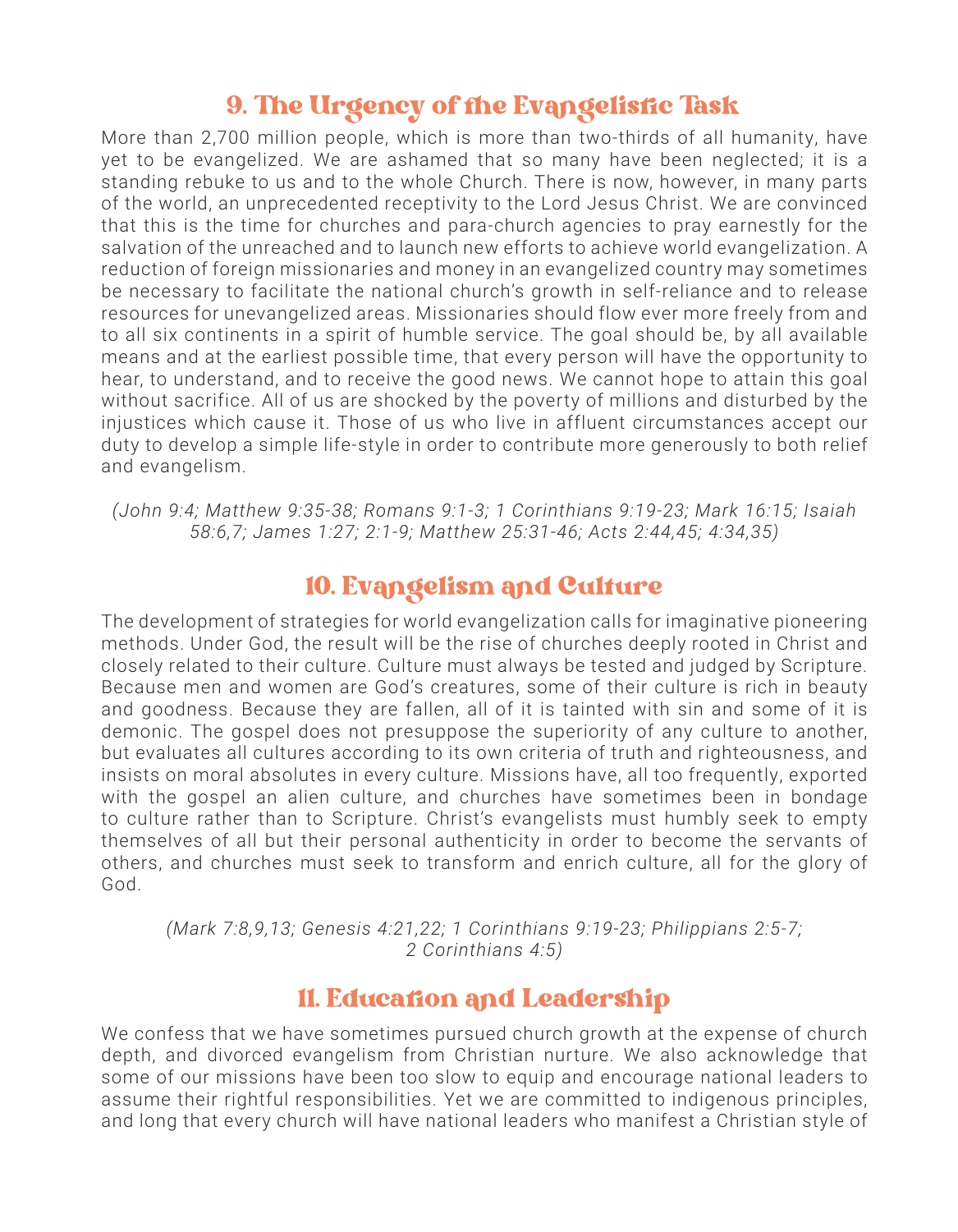# 9. The Urgency of the Evangelistic Task

More than 2,700 million people, which is more than two-thirds of all humanity, have yet to be evangelized. We are ashamed that so many have been neglected; it is a standing rebuke to us and to the whole Church. There is now, however, in many parts of the world, an unprecedented receptivity to the Lord Jesus Christ. We are convinced that this is the time for churches and para-church agencies to pray earnestly for the salvation of the unreached and to launch new efforts to achieve world evangelization. A reduction of foreign missionaries and money in an evangelized country may sometimes be necessary to facilitate the national church's growth in self-reliance and to release resources for unevangelized areas. Missionaries should flow ever more freely from and to all six continents in a spirit of humble service. The goal should be, by all available means and at the earliest possible time, that every person will have the opportunity to hear, to understand, and to receive the good news. We cannot hope to attain this goal without sacrifice. All of us are shocked by the poverty of millions and disturbed by the injustices which cause it. Those of us who live in affluent circumstances accept our duty to develop a simple life-style in order to contribute more generously to both relief and evangelism.

*(John 9:4; Matthew 9:35-38; Romans 9:1-3; 1 Corinthians 9:19-23; Mark 16:15; Isaiah 58:6,7; James 1:27; 2:1-9; Matthew 25:31-46; Acts 2:44,45; 4:34,35)*

## 10. Evangelism and Culture

The development of strategies for world evangelization calls for imaginative pioneering methods. Under God, the result will be the rise of churches deeply rooted in Christ and closely related to their culture. Culture must always be tested and judged by Scripture. Because men and women are God's creatures, some of their culture is rich in beauty and goodness. Because they are fallen, all of it is tainted with sin and some of it is demonic. The gospel does not presuppose the superiority of any culture to another, but evaluates all cultures according to its own criteria of truth and righteousness, and insists on moral absolutes in every culture. Missions have, all too frequently, exported with the gospel an alien culture, and churches have sometimes been in bondage to culture rather than to Scripture. Christ's evangelists must humbly seek to empty themselves of all but their personal authenticity in order to become the servants of others, and churches must seek to transform and enrich culture, all for the glory of God.

*(Mark 7:8,9,13; Genesis 4:21,22; 1 Corinthians 9:19-23; Philippians 2:5-7; 2 Corinthians 4:5)*

#### 11. Education and Leadership

We confess that we have sometimes pursued church growth at the expense of church depth, and divorced evangelism from Christian nurture. We also acknowledge that some of our missions have been too slow to equip and encourage national leaders to assume their rightful responsibilities. Yet we are committed to indigenous principles, and long that every church will have national leaders who manifest a Christian style of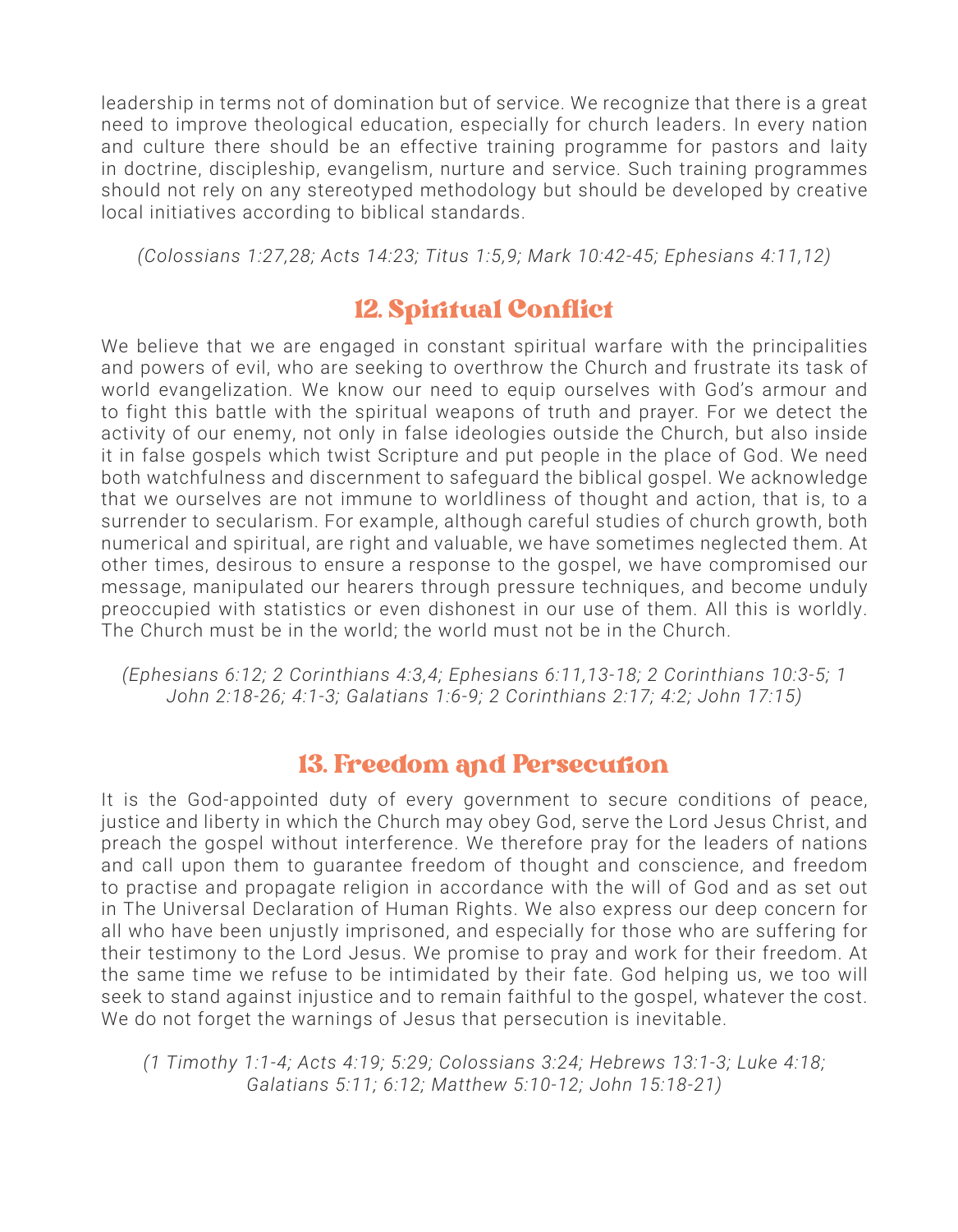leadership in terms not of domination but of service. We recognize that there is a great need to improve theological education, especially for church leaders. In every nation and culture there should be an effective training programme for pastors and laity in doctrine, discipleship, evangelism, nurture and service. Such training programmes should not rely on any stereotyped methodology but should be developed by creative local initiatives according to biblical standards.

*(Colossians 1:27,28; Acts 14:23; Titus 1:5,9; Mark 10:42-45; Ephesians 4:11,12)*

# 12. Spiritual Conflict

We believe that we are engaged in constant spiritual warfare with the principalities and powers of evil, who are seeking to overthrow the Church and frustrate its task of world evangelization. We know our need to equip ourselves with God's armour and to fight this battle with the spiritual weapons of truth and prayer. For we detect the activity of our enemy, not only in false ideologies outside the Church, but also inside it in false gospels which twist Scripture and put people in the place of God. We need both watchfulness and discernment to safeguard the biblical gospel. We acknowledge that we ourselves are not immune to worldliness of thought and action, that is, to a surrender to secularism. For example, although careful studies of church growth, both numerical and spiritual, are right and valuable, we have sometimes neglected them. At other times, desirous to ensure a response to the gospel, we have compromised our message, manipulated our hearers through pressure techniques, and become unduly preoccupied with statistics or even dishonest in our use of them. All this is worldly. The Church must be in the world; the world must not be in the Church.

*(Ephesians 6:12; 2 Corinthians 4:3,4; Ephesians 6:11,13-18; 2 Corinthians 10:3-5; 1 John 2:18-26; 4:1-3; Galatians 1:6-9; 2 Corinthians 2:17; 4:2; John 17:15)*

#### 13. Freedom and Persecution

It is the God-appointed duty of every government to secure conditions of peace, justice and liberty in which the Church may obey God, serve the Lord Jesus Christ, and preach the gospel without interference. We therefore pray for the leaders of nations and call upon them to guarantee freedom of thought and conscience, and freedom to practise and propagate religion in accordance with the will of God and as set out in The Universal Declaration of Human Rights. We also express our deep concern for all who have been unjustly imprisoned, and especially for those who are suffering for their testimony to the Lord Jesus. We promise to pray and work for their freedom. At the same time we refuse to be intimidated by their fate. God helping us, we too will seek to stand against injustice and to remain faithful to the gospel, whatever the cost. We do not forget the warnings of Jesus that persecution is inevitable.

*(1 Timothy 1:1-4; Acts 4:19; 5:29; Colossians 3:24; Hebrews 13:1-3; Luke 4:18; Galatians 5:11; 6:12; Matthew 5:10-12; John 15:18-21)*